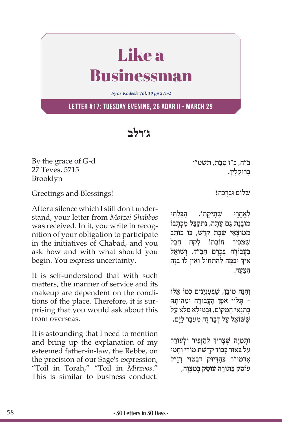## Like a Businessman

*Igros Kodesh Vol. 10 pp 271-2*

**Letter #17: Tuesday evening, 26 Adar II - March 29**

**ג'רלב**

By the grace of G-d 27 Teves, 5715 Brooklyn

Greetings and Blessings!

After a silence which I still don't understand, your letter from *Motzei Shabbos* was received. In it, you write in recognition of your obligation to participate in the initiatives of Chabad, and you ask how and with what should you begin. You express uncertainty.

It is self-understood that with such matters, the manner of service and its makeup are dependent on the conditions of the place. Therefore, it is surprising that you would ask about this from overseas.

It is astounding that I need to mention and bring up the explanation of my esteemed father-in-law, the Rebbe, on the precision of our Sage's expression, "Toil in Torah," "Toil in *Mitzvos*." This is similar to business conduct:

ֵ ב"ה, כ"ז טֵבת, תשט"ו ְּב ּרו ְק ִלין.

שלוֹם וּברכה!

לאחרי שׁתיקתוֹ, הבלתי מוּבֶנֶת גֵּם עֲתַּה, נִתְקַבֵּל מְכָתַּבוֹ ממוצאי שבת ק*ֹדָשׁ, בּוֹ כּוֹתָב* שֲמכּיר חוֹבתוֹ לקח חֵבֵל בַּעֲבוֹדָה בִּכֶרֶם חַבַּ״ד, וְשׁוֹאֵל ֧֧֧֦֧֢ׅ֖֧֧֚֝֝֬֓֓֓֓֓֓֓֓<u>֓</u> ּאֵיךְ וּבַמֶּה לְהַתְחִיל וְאֵין לוֹ בְּזֶה ַהָּצָעה.

וְהִנֵּה מוּבָן, שֶׁבְעָנְיָנִים כִּמוֹ אֵלוּ ָ תַּלוִי אֹפֵן הָעֲבוֹדָה וּמַהוּתַהּ -בִּתְנָאֵי הַמָּקוֹם. וּבִמֵילַא פֵּלֵא עַל שִׁשׁוֹאֵל עַל דְּבַר זֶה מֵעֵבֶר לַיָּם,

֧֧֧֦֧֢ׅ֖֖֖֖֧֚֚֚֚֚֝֝֬<u>֚</u> וּתְמִיָּה שֶׁצָּרִיךְ לְהַזְכִּיר וּלְעוֹרֵר ַעֲל בְּאוּר כְּבוֹד קְדָשֵׁת מוֹרִי וְחַמִי ֿאַדמו"ר בְּהַדִּיּוּק דְּבְטּוּי רַזַ"ל **ִעוֹסֵק בַּתּוֹרַה עוֹסֵק בִּמְצְוַה,**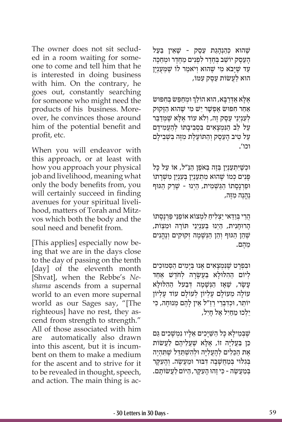The owner does not sit secluded in a room waiting for someone to come and tell him that he is interested in doing business with him. On the contrary, he goes out, constantly searching for someone who might need the products of his business. Moreover, he convinces those around him of the potential benefit and profit, etc.

When you will endeavor with this approach, or at least with how you approach your physical job and livelihood, meaning what only the body benefits from, you will certainly succeed in finding avenues for your spiritual livelihood, matters of Torah and Mitzvos which both the body and the soul need and benefit from.

[This applies] especially now being that we are in the days close to the day of passing on the tenth [day] of the eleventh month [Shvat], when the Rebbe's *Neshama* ascends from a supernal world to an even more supernal world as our Sages say, "[The righteous] have no rest, they ascend from strength to strength." All of those associated with him are automatically also drawn into this ascent, but it is incumbent on them to make a medium for the ascent and to strive for it to be revealed in thought, speech, and action. The main thing is ac-

שֶׁהוּא כִּהַנְהַגַּת עֶסֶק - שֶׁאֵין בַּעַל ָהַעָסק יוֹשֵׁב בַּחִדר לְפַנִים מַחִדר וּמַחִכּה עַד שֶׁיָּבֹא מִי שֶׁהוּא וְיֹאמַר לוֹ שֶׁמְעֻנְיָן ּהו ַא לֲע ֵ שׂ וֹ ת עֶס ִק ע ּמוֹ ,

֧֧֧֖֖֖֖֖֖֖֧֚֚֚֚֚֚֚֚֝֝֬<u>֓</u> אָלָא אַדְרַבָּא, הוּא הוֹלֵךְ וּמְחַפֵּשׂ בְּחִפּוּשׂ אחר חפּוּשׂ אַפ*ִּשׁר יֵשׁ מי שֵׁהוּא ה*זקוּק לְעָנְיְנֵי עֵסֶק זֶה, וְלֹא עוֹד אֶלָּא שֶׁמְּדַבֵּר ַעל לב הנּמצאים בסביבתוֹ להעמידם ַעל טיב העסק והתּוֹעלת מזה בּשׁבילם וכו'.

וּכְשֵׁיּתִעַנְיֵן בַּזֶה בִּאֹפֵן הִנּ״ל, אוֹ על כּל ּפָּנִים כִּמוֹ שֵׁהוּא מִתְעַנְיֵן בְּעָנְיַן מִשְׁרַתוֹ וּפַרְנַסַתוֹ הַגַּשְׁמִית, הַיְנוּ - שֶׁרַק הַגּוּף ֶנֱהֶנ ִה מֶּזה,

ֲהֵר ְּ י בַוַּד ַאי י ְצ ִל ַיח ִ ל ְמ ַ צוֹ א אוֹ פֵנּי פַּ ְרָנָסתוֹ הָרוּחָנִית, הַיְנוּ בִּעָנִיְנֵי תּוֹרָה וּמְצִוֹת, שֶׁהֵן הגּוּף וְהֵן הּגִּשָׁמה זְקוּקים וְנָהֵנים ֵמֶהם.

וּבִפְרָט שֶׁנִּמְצָאִים אָנוּ בְיָמִים הַסְמוּכִים ַ לְיוֹם הַהִלּוּלַא בַּעֲשַׂרַה לְחֹדֵשׁ אַחַד ַעשׂר, שַׁאז הַנּשַׁמה דִּבעל ההלוּלא ְעוֹלַה מֻעוֹלַם עֵלְיוֹן לְעוֹלַם עוֹד עֵלְיוֹן יוֹתֵר, וּכִדְבְרִי רז"ל אֵין לֹהֶם מֻנוּחה, כּי יֲלְכוּ מֵחיל אֵל חִיל,

שֶׁבְּמֵילָא כָּל הַשַּׁיָּכִים אֵלְיו נִמְשָׁכִים גַּם כֵּן בַּעֲלִיָּה זוֹ, אָלָא שֶׁעֲלֵיהֶם לַעֲשׂוֹת ּאֶת הַכֵּלִים לְהָעֲלִיָּה וּלְהִשְׁתַּדֵּל שֶׁתִּהְיֶה בְּגִלוּי בְּמַחֲשָׁבַה דְּבּוּר וּמַעֲשָׂה. וְהַעָ*ּ*קַר ְּבַמֲע ֶשׂ ִ ה - כּ ֶי ז ּהו ָ ה ִע ָּק ַר, ה ּי ַ וֹ ם לֲע ָשׂ וֹ תם.